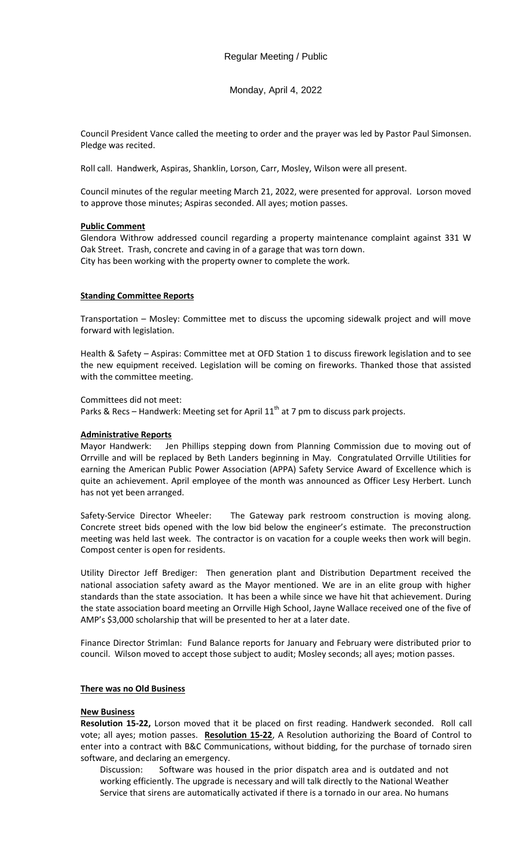# Monday, April 4, 2022

Council President Vance called the meeting to order and the prayer was led by Pastor Paul Simonsen. Pledge was recited.

Roll call. Handwerk, Aspiras, Shanklin, Lorson, Carr, Mosley, Wilson were all present.

Council minutes of the regular meeting March 21, 2022, were presented for approval. Lorson moved to approve those minutes; Aspiras seconded. All ayes; motion passes.

## **Public Comment**

Glendora Withrow addressed council regarding a property maintenance complaint against 331 W Oak Street. Trash, concrete and caving in of a garage that was torn down. City has been working with the property owner to complete the work.

## **Standing Committee Reports**

Transportation – Mosley: Committee met to discuss the upcoming sidewalk project and will move forward with legislation.

Health & Safety – Aspiras: Committee met at OFD Station 1 to discuss firework legislation and to see the new equipment received. Legislation will be coming on fireworks. Thanked those that assisted with the committee meeting.

Committees did not meet:

Parks & Recs – Handwerk: Meeting set for April  $11<sup>th</sup>$  at 7 pm to discuss park projects.

### **Administrative Reports**

Mayor Handwerk: Jen Phillips stepping down from Planning Commission due to moving out of Orrville and will be replaced by Beth Landers beginning in May. Congratulated Orrville Utilities for earning the American Public Power Association (APPA) Safety Service Award of Excellence which is quite an achievement. April employee of the month was announced as Officer Lesy Herbert. Lunch has not yet been arranged.

Safety-Service Director Wheeler: The Gateway park restroom construction is moving along. Concrete street bids opened with the low bid below the engineer's estimate. The preconstruction meeting was held last week. The contractor is on vacation for a couple weeks then work will begin. Compost center is open for residents.

Utility Director Jeff Brediger: Then generation plant and Distribution Department received the national association safety award as the Mayor mentioned. We are in an elite group with higher standards than the state association. It has been a while since we have hit that achievement. During the state association board meeting an Orrville High School, Jayne Wallace received one of the five of AMP's \$3,000 scholarship that will be presented to her at a later date.

Finance Director Strimlan: Fund Balance reports for January and February were distributed prior to council. Wilson moved to accept those subject to audit; Mosley seconds; all ayes; motion passes.

### **There was no Old Business**

#### **New Business**

**Resolution 15-22,** Lorson moved that it be placed on first reading. Handwerk seconded. Roll call vote; all ayes; motion passes. **Resolution 15-22**, A Resolution authorizing the Board of Control to enter into a contract with B&C Communications, without bidding, for the purchase of tornado siren software, and declaring an emergency.

Discussion: Software was housed in the prior dispatch area and is outdated and not working efficiently. The upgrade is necessary and will talk directly to the National Weather Service that sirens are automatically activated if there is a tornado in our area. No humans